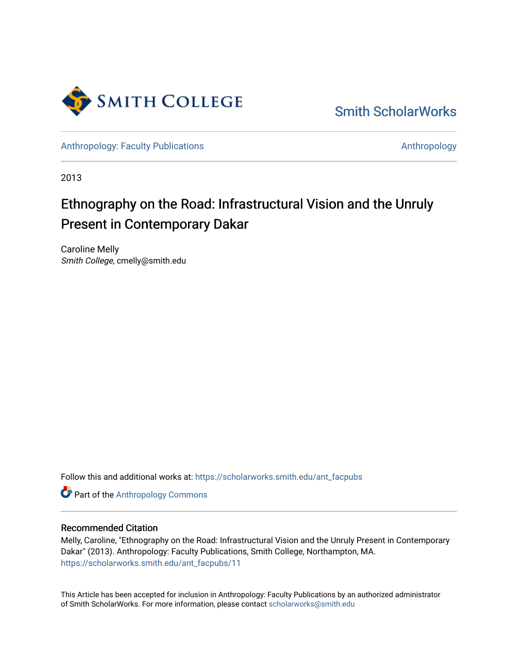

[Smith ScholarWorks](https://scholarworks.smith.edu/) 

[Anthropology: Faculty Publications](https://scholarworks.smith.edu/ant_facpubs) [Anthropology](https://scholarworks.smith.edu/ant) Anthropology

2013

# Ethnography on the Road: Infrastructural Vision and the Unruly Present in Contemporary Dakar

Caroline Melly Smith College, cmelly@smith.edu

Follow this and additional works at: [https://scholarworks.smith.edu/ant\\_facpubs](https://scholarworks.smith.edu/ant_facpubs?utm_source=scholarworks.smith.edu%2Fant_facpubs%2F11&utm_medium=PDF&utm_campaign=PDFCoverPages) 

Part of the [Anthropology Commons](https://network.bepress.com/hgg/discipline/318?utm_source=scholarworks.smith.edu%2Fant_facpubs%2F11&utm_medium=PDF&utm_campaign=PDFCoverPages)

# Recommended Citation

Melly, Caroline, "Ethnography on the Road: Infrastructural Vision and the Unruly Present in Contemporary Dakar" (2013). Anthropology: Faculty Publications, Smith College, Northampton, MA. [https://scholarworks.smith.edu/ant\\_facpubs/11](https://scholarworks.smith.edu/ant_facpubs/11?utm_source=scholarworks.smith.edu%2Fant_facpubs%2F11&utm_medium=PDF&utm_campaign=PDFCoverPages)

This Article has been accepted for inclusion in Anthropology: Faculty Publications by an authorized administrator of Smith ScholarWorks. For more information, please contact [scholarworks@smith.edu](mailto:scholarworks@smith.edu)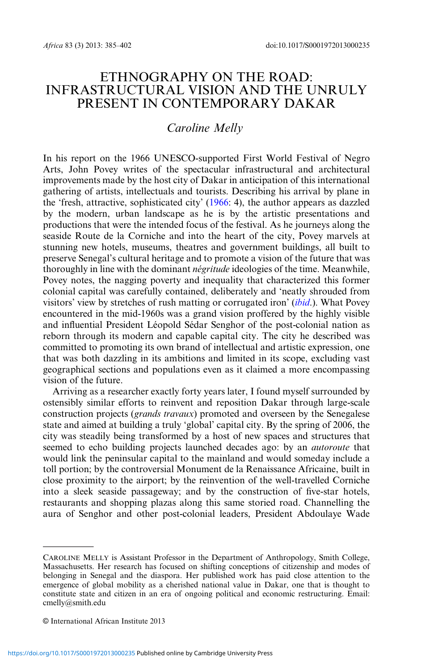# ETHNOGRAPHY ON THE ROAD: INFRASTRUCTURAL VISION AND THE UNRULY PRESENT IN CONTEMPORARY DAKAR

# Caroline Melly

In his report on the 1966 UNESCO-supported First World Festival of Negro Arts, John Povey writes of the spectacular infrastructural and architectural improvements made by the host city of Dakar in anticipation of this international gathering of artists, intellectuals and tourists. Describing his arrival by plane in the 'fresh, attractive, sophisticated city' ([1966:](#page-17-0) 4), the author appears as dazzled by the modern, urban landscape as he is by the artistic presentations and productions that were the intended focus of the festival. As he journeys along the seaside Route de la Corniche and into the heart of the city, Povey marvels at stunning new hotels, museums, theatres and government buildings, all built to preserve Senegal's cultural heritage and to promote a vision of the future that was thoroughly in line with the dominant *négritude* ideologies of the time. Meanwhile, Povey notes, the nagging poverty and inequality that characterized this former colonial capital was carefully contained, deliberately and 'neatly shrouded from visitors' view by stretches of rush matting or corrugated iron' *([ibid](#page-17-0).)*. What Povey encountered in the mid-1960s was a grand vision proffered by the highly visible and influential President Léopold Sédar Senghor of the post-colonial nation as reborn through its modern and capable capital city. The city he described was committed to promoting its own brand of intellectual and artistic expression, one that was both dazzling in its ambitions and limited in its scope, excluding vast geographical sections and populations even as it claimed a more encompassing vision of the future.

Arriving as a researcher exactly forty years later, I found myself surrounded by ostensibly similar efforts to reinvent and reposition Dakar through large-scale construction projects (grands travaux) promoted and overseen by the Senegalese state and aimed at building a truly 'global' capital city. By the spring of 2006, the city was steadily being transformed by a host of new spaces and structures that seemed to echo building projects launched decades ago: by an *autoroute* that would link the peninsular capital to the mainland and would someday include a toll portion; by the controversial Monument de la Renaissance Africaine, built in close proximity to the airport; by the reinvention of the well-travelled Corniche into a sleek seaside passageway; and by the construction of five-star hotels, restaurants and shopping plazas along this same storied road. Channelling the aura of Senghor and other post-colonial leaders, President Abdoulaye Wade

CAROLINE MELLY is Assistant Professor in the Department of Anthropology, Smith College, Massachusetts. Her research has focused on shifting conceptions of citizenship and modes of belonging in Senegal and the diaspora. Her published work has paid close attention to the emergence of global mobility as a cherished national value in Dakar, one that is thought to constitute state and citizen in an era of ongoing political and economic restructuring. Email: cmelly@smith.edu

*<sup>©</sup>* International African Institute 2013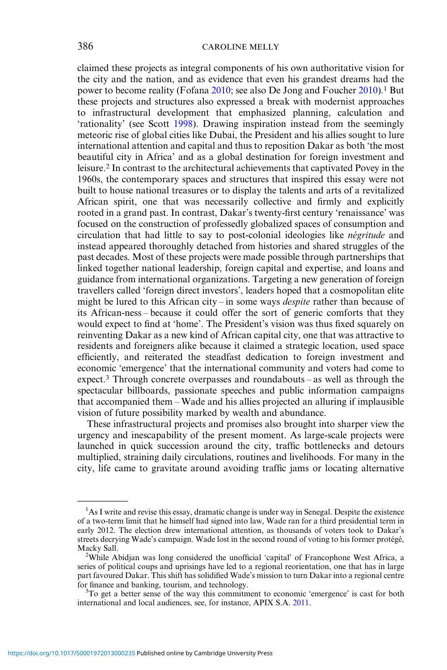claimed these projects as integral components of his own authoritative vision for the city and the nation, and as evidence that even his grandest dreams had the power to become reality (Fofana [2010](#page-17-0); see also De Jong and Foucher [2010\)](#page-17-0).<sup>1</sup> But these projects and structures also expressed a break with modernist approaches to infrastructural development that emphasized planning, calculation and 'rationality' (see Scott [1998\)](#page-18-0). Drawing inspiration instead from the seemingly meteoric rise of global cities like Dubai, the President and his allies sought to lure international attention and capital and thus to reposition Dakar as both 'the most beautiful city in Africa' and as a global destination for foreign investment and leisure.2 In contrast to the architectural achievements that captivated Povey in the 1960s, the contemporary spaces and structures that inspired this essay were not built to house national treasures or to display the talents and arts of a revitalized African spirit, one that was necessarily collective and firmly and explicitly rooted in a grand past. In contrast, Dakar's twenty-first century 'renaissance' was focused on the construction of professedly globalized spaces of consumption and circulation that had little to say to post-colonial ideologies like négritude and instead appeared thoroughly detached from histories and shared struggles of the past decades. Most of these projects were made possible through partnerships that linked together national leadership, foreign capital and expertise, and loans and guidance from international organizations. Targeting a new generation of foreign travellers called 'foreign direct investors', leaders hoped that a cosmopolitan elite might be lured to this African city – in some ways *despite* rather than because of its African-ness – because it could offer the sort of generic comforts that they would expect to find at 'home'. The President's vision was thus fixed squarely on reinventing Dakar as a new kind of African capital city, one that was attractive to residents and foreigners alike because it claimed a strategic location, used space efficiently, and reiterated the steadfast dedication to foreign investment and economic 'emergence' that the international community and voters had come to expect.3 Through concrete overpasses and roundabouts – as well as through the spectacular billboards, passionate speeches and public information campaigns that accompanied them – Wade and his allies projected an alluring if implausible vision of future possibility marked by wealth and abundance.

These infrastructural projects and promises also brought into sharper view the urgency and inescapability of the present moment. As large-scale projects were launched in quick succession around the city, traffic bottlenecks and detours multiplied, straining daily circulations, routines and livelihoods. For many in the city, life came to gravitate around avoiding traffic jams or locating alternative

<sup>&</sup>lt;sup>1</sup>As I write and revise this essay, dramatic change is under way in Senegal. Despite the existence of a two-term limit that he himself had signed into law, Wade ran for a third presidential term in early 2012. The election drew international attention, as thousands of voters took to Dakar's streets decrying Wade's campaign. Wade lost in the second round of voting to his former protégé, Macky Sall.

<sup>&</sup>lt;sup>2</sup>While Abidjan was long considered the unofficial 'capital' of Francophone West Africa, a series of political coups and uprisings have led to a regional reorientation, one that has in large part favoured Dakar. This shift has solidified Wade's mission to turn Dakar into a regional centre for finance and banking, tourism, and technology.

 ${}^{3}$ To get a better sense of the way this commitment to economic 'emergence' is cast for both international and local audiences, see, for instance, APIX S.A. [2011.](#page-16-0)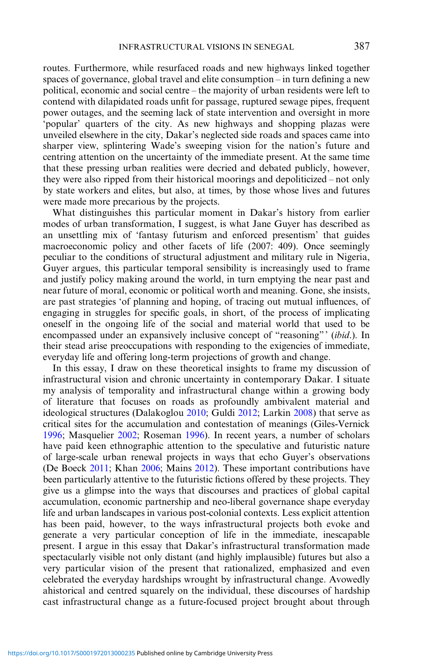routes. Furthermore, while resurfaced roads and new highways linked together spaces of governance, global travel and elite consumption – in turn defining a new political, economic and social centre – the majority of urban residents were left to contend with dilapidated roads unfit for passage, ruptured sewage pipes, frequent power outages, and the seeming lack of state intervention and oversight in more 'popular' quarters of the city. As new highways and shopping plazas were unveiled elsewhere in the city, Dakar's neglected side roads and spaces came into sharper view, splintering Wade's sweeping vision for the nation's future and centring attention on the uncertainty of the immediate present. At the same time that these pressing urban realities were decried and debated publicly, however, they were also ripped from their historical moorings and depoliticized – not only by state workers and elites, but also, at times, by those whose lives and futures were made more precarious by the projects.

What distinguishes this particular moment in Dakar's history from earlier modes of urban transformation, I suggest, is what Jane Guyer has described as an unsettling mix of 'fantasy futurism and enforced presentism' that guides macroeconomic policy and other facets of life (2007: 409). Once seemingly peculiar to the conditions of structural adjustment and military rule in Nigeria, Guyer argues, this particular temporal sensibility is increasingly used to frame and justify policy making around the world, in turn emptying the near past and near future of moral, economic or political worth and meaning. Gone, she insists, are past strategies 'of planning and hoping, of tracing out mutual influences, of engaging in struggles for specific goals, in short, of the process of implicating oneself in the ongoing life of the social and material world that used to be encompassed under an expansively inclusive concept of "reasoning"' (ibid.). In their stead arise preoccupations with responding to the exigencies of immediate, everyday life and offering long-term projections of growth and change.

In this essay, I draw on these theoretical insights to frame my discussion of infrastructural vision and chronic uncertainty in contemporary Dakar. I situate my analysis of temporality and infrastructural change within a growing body of literature that focuses on roads as profoundly ambivalent material and ideological structures (Dalakoglou [2010;](#page-16-0) Guldi [2012](#page-17-0); Larkin [2008](#page-17-0)) that serve as critical sites for the accumulation and contestation of meanings (Giles-Vernick [1996;](#page-17-0) Masquelier [2002](#page-17-0); Roseman [1996](#page-18-0)). In recent years, a number of scholars have paid keen ethnographic attention to the speculative and futuristic nature of large-scale urban renewal projects in ways that echo Guyer's observations (De Boeck [2011;](#page-17-0) Khan [2006](#page-17-0); Mains [2012\)](#page-17-0). These important contributions have been particularly attentive to the futuristic fictions offered by these projects. They give us a glimpse into the ways that discourses and practices of global capital accumulation, economic partnership and neo-liberal governance shape everyday life and urban landscapes in various post-colonial contexts. Less explicit attention has been paid, however, to the ways infrastructural projects both evoke and generate a very particular conception of life in the immediate, inescapable present. I argue in this essay that Dakar's infrastructural transformation made spectacularly visible not only distant (and highly implausible) futures but also a very particular vision of the present that rationalized, emphasized and even celebrated the everyday hardships wrought by infrastructural change. Avowedly ahistorical and centred squarely on the individual, these discourses of hardship cast infrastructural change as a future-focused project brought about through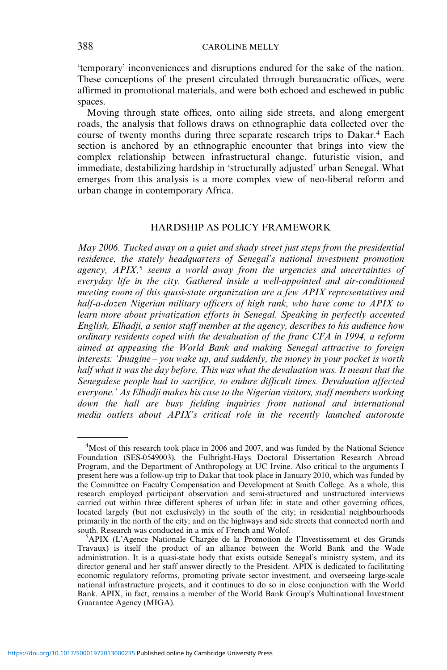'temporary' inconveniences and disruptions endured for the sake of the nation. These conceptions of the present circulated through bureaucratic offices, were affirmed in promotional materials, and were both echoed and eschewed in public spaces.

Moving through state offices, onto ailing side streets, and along emergent roads, the analysis that follows draws on ethnographic data collected over the course of twenty months during three separate research trips to Dakar.<sup>4</sup> Each section is anchored by an ethnographic encounter that brings into view the complex relationship between infrastructural change, futuristic vision, and immediate, destabilizing hardship in 'structurally adjusted' urban Senegal. What emerges from this analysis is a more complex view of neo-liberal reform and urban change in contemporary Africa.

## HARDSHIP AS POLICY FRAMEWORK

May 2006. Tucked away on a quiet and shady street just steps from the presidential residence, the stately headquarters of Senegal's national investment promotion agency,  $APIX$ ,<sup>5</sup> seems a world away from the urgencies and uncertainties of everyday life in the city. Gathered inside a well-appointed and air-conditioned meeting room of this quasi-state organization are a few APIX representatives and half-a-dozen Nigerian military officers of high rank, who have come to APIX to learn more about privatization efforts in Senegal. Speaking in perfectly accented English, Elhadji, a senior staff member at the agency, describes to his audience how ordinary residents coped with the devaluation of the franc CFA in 1994, a reform aimed at appeasing the World Bank and making Senegal attractive to foreign interests: 'Imagine – you wake up, and suddenly, the money in your pocket is worth half what it was the day before. This was what the devaluation was. It meant that the Senegalese people had to sacrifice, to endure difficult times. Devaluation affected everyone.' As Elhadji makes his case to the Nigerian visitors, staff members working down the hall are busy fielding inquiries from national and international media outlets about APIX's critical role in the recently launched autoroute

<sup>&</sup>lt;sup>4</sup>Most of this research took place in 2006 and 2007, and was funded by the National Science Foundation (SES-0549003), the Fulbright-Hays Doctoral Dissertation Research Abroad Program, and the Department of Anthropology at UC Irvine. Also critical to the arguments I present here was a follow-up trip to Dakar that took place in January 2010, which was funded by the Committee on Faculty Compensation and Development at Smith College. As a whole, this research employed participant observation and semi-structured and unstructured interviews carried out within three different spheres of urban life: in state and other governing offices, located largely (but not exclusively) in the south of the city; in residential neighbourhoods primarily in the north of the city; and on the highways and side streets that connected north and south. Research was conducted in a mix of French and Wolof.

APIX (L'Agence Nationale Chargée de la Promotion de l'Investissement et des Grands Travaux) is itself the product of an alliance between the World Bank and the Wade administration. It is a quasi-state body that exists outside Senegal's ministry system, and its director general and her staff answer directly to the President. APIX is dedicated to facilitating economic regulatory reforms, promoting private sector investment, and overseeing large-scale national infrastructure projects, and it continues to do so in close conjunction with the World Bank. APIX, in fact, remains a member of the World Bank Group's Multinational Investment Guarantee Agency (MIGA).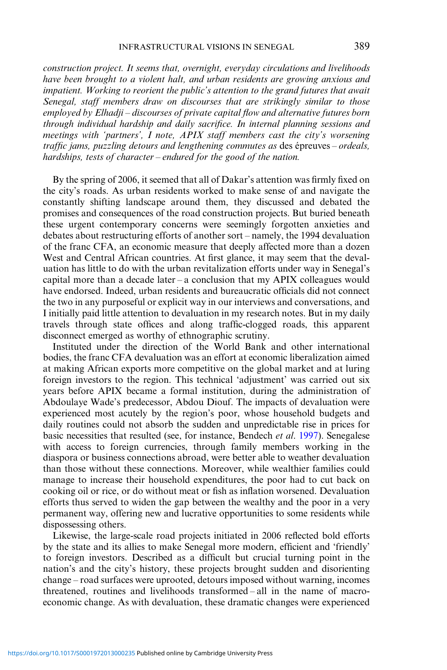construction project. It seems that, overnight, everyday circulations and livelihoods have been brought to a violent halt, and urban residents are growing anxious and impatient. Working to reorient the public's attention to the grand futures that await Senegal, staff members draw on discourses that are strikingly similar to those employed by Elhadji – discourses of private capital flow and alternative futures born through individual hardship and daily sacrifice. In internal planning sessions and meetings with 'partners', I note, APIX staff members cast the city's worsening traffic jams, puzzling detours and lengthening commutes as des épreuves – ordeals, hardships, tests of character – endured for the good of the nation.

By the spring of 2006, it seemed that all of Dakar's attention was firmly fixed on the city's roads. As urban residents worked to make sense of and navigate the constantly shifting landscape around them, they discussed and debated the promises and consequences of the road construction projects. But buried beneath these urgent contemporary concerns were seemingly forgotten anxieties and debates about restructuring efforts of another sort – namely, the 1994 devaluation of the franc CFA, an economic measure that deeply affected more than a dozen West and Central African countries. At first glance, it may seem that the devaluation has little to do with the urban revitalization efforts under way in Senegal's capital more than a decade later – a conclusion that my  $APIX$  colleagues would have endorsed. Indeed, urban residents and bureaucratic officials did not connect the two in any purposeful or explicit way in our interviews and conversations, and I initially paid little attention to devaluation in my research notes. But in my daily travels through state offices and along traffic-clogged roads, this apparent disconnect emerged as worthy of ethnographic scrutiny.

Instituted under the direction of the World Bank and other international bodies, the franc CFA devaluation was an effort at economic liberalization aimed at making African exports more competitive on the global market and at luring foreign investors to the region. This technical 'adjustment' was carried out six years before APIX became a formal institution, during the administration of Abdoulaye Wade's predecessor, Abdou Diouf. The impacts of devaluation were experienced most acutely by the region's poor, whose household budgets and daily routines could not absorb the sudden and unpredictable rise in prices for basic necessities that resulted (see, for instance, Bendech et al. [1997\)](#page-16-0). Senegalese with access to foreign currencies, through family members working in the diaspora or business connections abroad, were better able to weather devaluation than those without these connections. Moreover, while wealthier families could manage to increase their household expenditures, the poor had to cut back on cooking oil or rice, or do without meat or fish as inflation worsened. Devaluation efforts thus served to widen the gap between the wealthy and the poor in a very permanent way, offering new and lucrative opportunities to some residents while dispossessing others.

Likewise, the large-scale road projects initiated in 2006 reflected bold efforts by the state and its allies to make Senegal more modern, efficient and 'friendly' to foreign investors. Described as a difficult but crucial turning point in the nation's and the city's history, these projects brought sudden and disorienting change – road surfaces were uprooted, detours imposed without warning, incomes threatened, routines and livelihoods transformed – all in the name of macroeconomic change. As with devaluation, these dramatic changes were experienced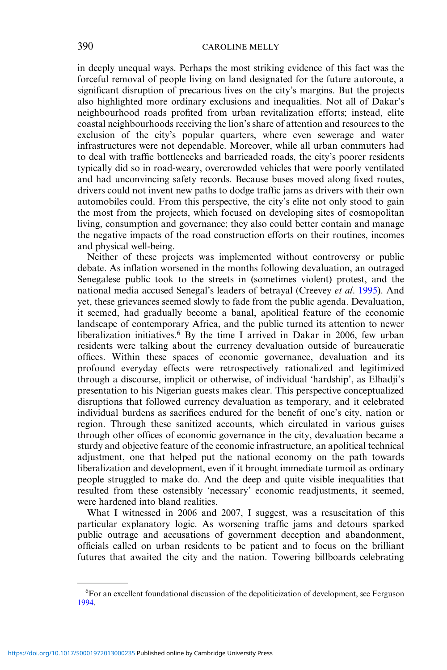in deeply unequal ways. Perhaps the most striking evidence of this fact was the forceful removal of people living on land designated for the future autoroute, a significant disruption of precarious lives on the city's margins. But the projects also highlighted more ordinary exclusions and inequalities. Not all of Dakar's neighbourhood roads profited from urban revitalization efforts; instead, elite coastal neighbourhoods receiving the lion's share of attention and resources to the exclusion of the city's popular quarters, where even sewerage and water infrastructures were not dependable. Moreover, while all urban commuters had to deal with traffic bottlenecks and barricaded roads, the city's poorer residents typically did so in road-weary, overcrowded vehicles that were poorly ventilated and had unconvincing safety records. Because buses moved along fixed routes, drivers could not invent new paths to dodge traffic jams as drivers with their own automobiles could. From this perspective, the city's elite not only stood to gain the most from the projects, which focused on developing sites of cosmopolitan living, consumption and governance; they also could better contain and manage the negative impacts of the road construction efforts on their routines, incomes and physical well-being.

Neither of these projects was implemented without controversy or public debate. As inflation worsened in the months following devaluation, an outraged Senegalese public took to the streets in (sometimes violent) protest, and the national media accused Senegal's leaders of betrayal (Creevey et al. [1995](#page-16-0)). And yet, these grievances seemed slowly to fade from the public agenda. Devaluation, it seemed, had gradually become a banal, apolitical feature of the economic landscape of contemporary Africa, and the public turned its attention to newer liberalization initiatives.<sup>6</sup> By the time I arrived in Dakar in 2006, few urban residents were talking about the currency devaluation outside of bureaucratic offices. Within these spaces of economic governance, devaluation and its profound everyday effects were retrospectively rationalized and legitimized through a discourse, implicit or otherwise, of individual 'hardship', as Elhadji's presentation to his Nigerian guests makes clear. This perspective conceptualized disruptions that followed currency devaluation as temporary, and it celebrated individual burdens as sacrifices endured for the benefit of one's city, nation or region. Through these sanitized accounts, which circulated in various guises through other offices of economic governance in the city, devaluation became a sturdy and objective feature of the economic infrastructure, an apolitical technical adjustment, one that helped put the national economy on the path towards liberalization and development, even if it brought immediate turmoil as ordinary people struggled to make do. And the deep and quite visible inequalities that resulted from these ostensibly 'necessary' economic readjustments, it seemed, were hardened into bland realities.

What I witnessed in 2006 and 2007, I suggest, was a resuscitation of this particular explanatory logic. As worsening traffic jams and detours sparked public outrage and accusations of government deception and abandonment, officials called on urban residents to be patient and to focus on the brilliant futures that awaited the city and the nation. Towering billboards celebrating

<sup>&</sup>lt;sup>6</sup>For an excellent foundational discussion of the depoliticization of development, see Ferguson [1994](#page-17-0).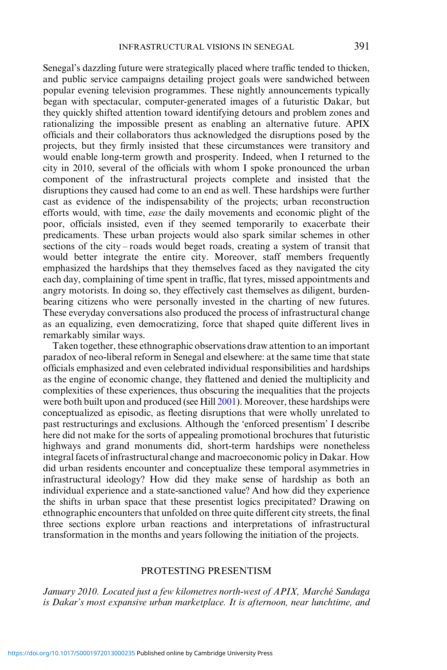Senegal's dazzling future were strategically placed where traffic tended to thicken, and public service campaigns detailing project goals were sandwiched between popular evening television programmes. These nightly announcements typically began with spectacular, computer-generated images of a futuristic Dakar, but they quickly shifted attention toward identifying detours and problem zones and rationalizing the impossible present as enabling an alternative future. APIX officials and their collaborators thus acknowledged the disruptions posed by the projects, but they firmly insisted that these circumstances were transitory and would enable long-term growth and prosperity. Indeed, when I returned to the city in 2010, several of the officials with whom I spoke pronounced the urban component of the infrastructural projects complete and insisted that the disruptions they caused had come to an end as well. These hardships were further cast as evidence of the indispensability of the projects; urban reconstruction efforts would, with time, ease the daily movements and economic plight of the poor, officials insisted, even if they seemed temporarily to exacerbate their predicaments. These urban projects would also spark similar schemes in other sections of the city – roads would beget roads, creating a system of transit that would better integrate the entire city. Moreover, staff members frequently emphasized the hardships that they themselves faced as they navigated the city each day, complaining of time spent in traffic, flat tyres, missed appointments and angry motorists. In doing so, they effectively cast themselves as diligent, burdenbearing citizens who were personally invested in the charting of new futures. These everyday conversations also produced the process of infrastructural change as an equalizing, even democratizing, force that shaped quite different lives in remarkably similar ways.

Taken together, these ethnographic observations draw attention to an important paradox of neo-liberal reform in Senegal and elsewhere: at the same time that state officials emphasized and even celebrated individual responsibilities and hardships as the engine of economic change, they flattened and denied the multiplicity and complexities of these experiences, thus obscuring the inequalities that the projects were both built upon and produced (see Hill [2001\)](#page-17-0). Moreover, these hardships were conceptualized as episodic, as fleeting disruptions that were wholly unrelated to past restructurings and exclusions. Although the 'enforced presentism' I describe here did not make for the sorts of appealing promotional brochures that futuristic highways and grand monuments did, short-term hardships were nonetheless integral facets of infrastructural change and macroeconomic policy in Dakar. How did urban residents encounter and conceptualize these temporal asymmetries in infrastructural ideology? How did they make sense of hardship as both an individual experience and a state-sanctioned value? And how did they experience the shifts in urban space that these presentist logics precipitated? Drawing on ethnographic encounters that unfolded on three quite different city streets, the final three sections explore urban reactions and interpretations of infrastructural transformation in the months and years following the initiation of the projects.

#### PROTESTING PRESENTISM

January 2010. Located just a few kilometres north-west of APIX, Marché Sandaga is Dakar's most expansive urban marketplace. It is afternoon, near lunchtime, and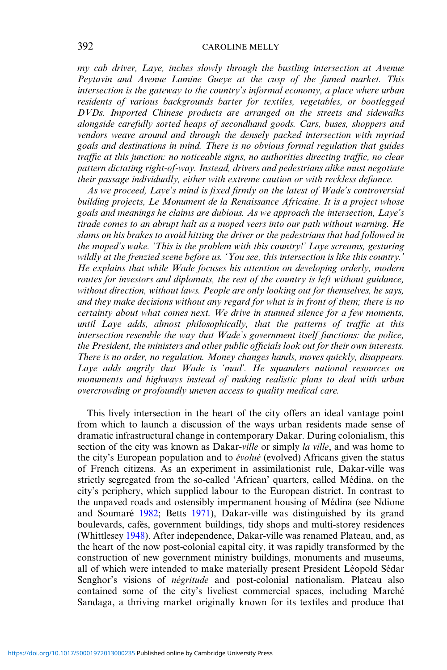my cab driver, Laye, inches slowly through the bustling intersection at Avenue Peytavin and Avenue Lamine Gueye at the cusp of the famed market. This intersection is the gateway to the country's informal economy, a place where urban residents of various backgrounds barter for textiles, vegetables, or bootlegged DVDs. Imported Chinese products are arranged on the streets and sidewalks alongside carefully sorted heaps of secondhand goods. Cars, buses, shoppers and vendors weave around and through the densely packed intersection with myriad goals and destinations in mind. There is no obvious formal regulation that guides traffic at this junction: no noticeable signs, no authorities directing traffic, no clear pattern dictating right-of-way. Instead, drivers and pedestrians alike must negotiate their passage individually, either with extreme caution or with reckless defiance.

As we proceed, Laye's mind is fixed firmly on the latest of Wade's controversial building projects, Le Monument de la Renaissance Africaine. It is a project whose goals and meanings he claims are dubious. As we approach the intersection, Laye's tirade comes to an abrupt halt as a moped veers into our path without warning. He slams on his brakes to avoid hitting the driver or the pedestrians that had followed in the moped's wake. 'This is the problem with this country!' Laye screams, gesturing wildly at the frenzied scene before us. 'You see, this intersection is like this country.' He explains that while Wade focuses his attention on developing orderly, modern routes for investors and diplomats, the rest of the country is left without guidance, without direction, without laws. People are only looking out for themselves, he says, and they make decisions without any regard for what is in front of them; there is no certainty about what comes next. We drive in stunned silence for a few moments, until Laye adds, almost philosophically, that the patterns of traffic at this intersection resemble the way that Wade's government itself functions: the police, the President, the ministers and other public officials look out for their own interests. There is no order, no regulation. Money changes hands, moves quickly, disappears. Laye adds angrily that Wade is 'mad'. He squanders national resources on monuments and highways instead of making realistic plans to deal with urban overcrowding or profoundly uneven access to quality medical care.

This lively intersection in the heart of the city offers an ideal vantage point from which to launch a discussion of the ways urban residents made sense of dramatic infrastructural change in contemporary Dakar. During colonialism, this section of the city was known as Dakar-ville or simply la ville, and was home to the city's European population and to évolué (evolved) Africans given the status of French citizens. As an experiment in assimilationist rule, Dakar-ville was strictly segregated from the so-called 'African' quarters, called Médina, on the city's periphery, which supplied labour to the European district. In contrast to the unpaved roads and ostensibly impermanent housing of Médina (see Ndione and Soumaré [1982](#page-17-0); Betts [1971](#page-16-0)), Dakar-ville was distinguished by its grand boulevards, cafés, government buildings, tidy shops and multi-storey residences (Whittlesey [1948](#page-18-0)). After independence, Dakar-ville was renamed Plateau, and, as the heart of the now post-colonial capital city, it was rapidly transformed by the construction of new government ministry buildings, monuments and museums, all of which were intended to make materially present President Léopold Sédar Senghor's visions of *négritude* and post-colonial nationalism. Plateau also contained some of the city's liveliest commercial spaces, including Marché Sandaga, a thriving market originally known for its textiles and produce that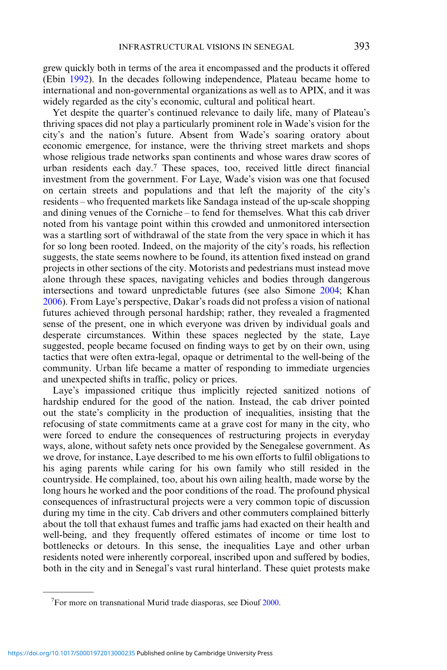grew quickly both in terms of the area it encompassed and the products it offered (Ebin [1992\)](#page-17-0). In the decades following independence, Plateau became home to international and non-governmental organizations as well as to APIX, and it was widely regarded as the city's economic, cultural and political heart.

Yet despite the quarter's continued relevance to daily life, many of Plateau's thriving spaces did not play a particularly prominent role in Wade's vision for the city's and the nation's future. Absent from Wade's soaring oratory about economic emergence, for instance, were the thriving street markets and shops whose religious trade networks span continents and whose wares draw scores of urban residents each day.<sup>7</sup> These spaces, too, received little direct financial investment from the government. For Laye, Wade's vision was one that focused on certain streets and populations and that left the majority of the city's residents – who frequented markets like Sandaga instead of the up-scale shopping and dining venues of the Corniche – to fend for themselves. What this cab driver noted from his vantage point within this crowded and unmonitored intersection was a startling sort of withdrawal of the state from the very space in which it has for so long been rooted. Indeed, on the majority of the city's roads, his reflection suggests, the state seems nowhere to be found, its attention fixed instead on grand projects in other sections of the city. Motorists and pedestrians must instead move alone through these spaces, navigating vehicles and bodies through dangerous intersections and toward unpredictable futures (see also Simone [2004;](#page-18-0) Khan [2006\)](#page-17-0). From Laye's perspective, Dakar's roads did not profess a vision of national futures achieved through personal hardship; rather, they revealed a fragmented sense of the present, one in which everyone was driven by individual goals and desperate circumstances. Within these spaces neglected by the state, Laye suggested, people became focused on finding ways to get by on their own, using tactics that were often extra-legal, opaque or detrimental to the well-being of the community. Urban life became a matter of responding to immediate urgencies and unexpected shifts in traffic, policy or prices.

Laye's impassioned critique thus implicitly rejected sanitized notions of hardship endured for the good of the nation. Instead, the cab driver pointed out the state's complicity in the production of inequalities, insisting that the refocusing of state commitments came at a grave cost for many in the city, who were forced to endure the consequences of restructuring projects in everyday ways, alone, without safety nets once provided by the Senegalese government. As we drove, for instance, Laye described to me his own efforts to fulfil obligations to his aging parents while caring for his own family who still resided in the countryside. He complained, too, about his own ailing health, made worse by the long hours he worked and the poor conditions of the road. The profound physical consequences of infrastructural projects were a very common topic of discussion during my time in the city. Cab drivers and other commuters complained bitterly about the toll that exhaust fumes and traffic jams had exacted on their health and well-being, and they frequently offered estimates of income or time lost to bottlenecks or detours. In this sense, the inequalities Laye and other urban residents noted were inherently corporeal, inscribed upon and suffered by bodies, both in the city and in Senegal's vast rural hinterland. These quiet protests make

<sup>&</sup>lt;sup>7</sup>For more on transnational Murid trade diasporas, see Diouf [2000.](#page-17-0)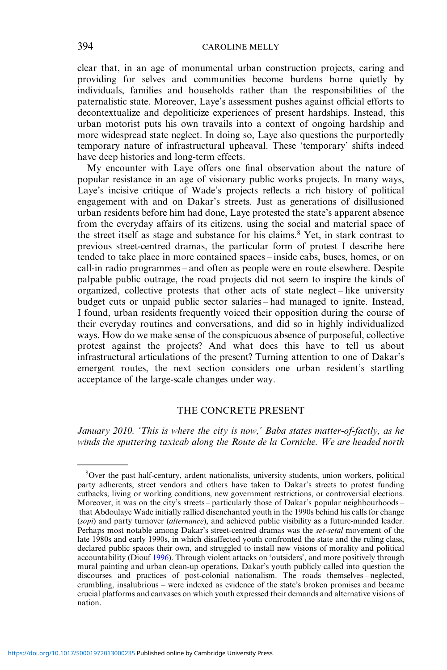clear that, in an age of monumental urban construction projects, caring and providing for selves and communities become burdens borne quietly by individuals, families and households rather than the responsibilities of the paternalistic state. Moreover, Laye's assessment pushes against official efforts to decontextualize and depoliticize experiences of present hardships. Instead, this urban motorist puts his own travails into a context of ongoing hardship and more widespread state neglect. In doing so, Laye also questions the purportedly temporary nature of infrastructural upheaval. These 'temporary' shifts indeed have deep histories and long-term effects.

My encounter with Laye offers one final observation about the nature of popular resistance in an age of visionary public works projects. In many ways, Laye's incisive critique of Wade's projects reflects a rich history of political engagement with and on Dakar's streets. Just as generations of disillusioned urban residents before him had done, Laye protested the state's apparent absence from the everyday affairs of its citizens, using the social and material space of the street itself as stage and substance for his claims.<sup>8</sup> Yet, in stark contrast to previous street-centred dramas, the particular form of protest I describe here tended to take place in more contained spaces – inside cabs, buses, homes, or on call-in radio programmes – and often as people were en route elsewhere. Despite palpable public outrage, the road projects did not seem to inspire the kinds of organized, collective protests that other acts of state neglect – like university budget cuts or unpaid public sector salaries – had managed to ignite. Instead, I found, urban residents frequently voiced their opposition during the course of their everyday routines and conversations, and did so in highly individualized ways. How do we make sense of the conspicuous absence of purposeful, collective protest against the projects? And what does this have to tell us about infrastructural articulations of the present? Turning attention to one of Dakar's emergent routes, the next section considers one urban resident's startling acceptance of the large-scale changes under way.

# THE CONCRETE PRESENT

January 2010. 'This is where the city is now,' Baba states matter-of-factly, as he winds the sputtering taxicab along the Route de la Corniche. We are headed north

<sup>8</sup> Over the past half-century, ardent nationalists, university students, union workers, political party adherents, street vendors and others have taken to Dakar's streets to protest funding cutbacks, living or working conditions, new government restrictions, or controversial elections. Moreover, it was on the city's streets – particularly those of Dakar's popular neighbourhoods – that Abdoulaye Wade initially rallied disenchanted youth in the 1990s behind his calls for change (sopi) and party turnover (alternance), and achieved public visibility as a future-minded leader. Perhaps most notable among Dakar's street-centred dramas was the set-setal movement of the late 1980s and early 1990s, in which disaffected youth confronted the state and the ruling class, declared public spaces their own, and struggled to install new visions of morality and political accountability (Diouf [1996\)](#page-17-0). Through violent attacks on 'outsiders', and more positively through mural painting and urban clean-up operations, Dakar's youth publicly called into question the discourses and practices of post-colonial nationalism. The roads themselves – neglected, crumbling, insalubrious – were indexed as evidence of the state's broken promises and became crucial platforms and canvases on which youth expressed their demands and alternative visions of nation.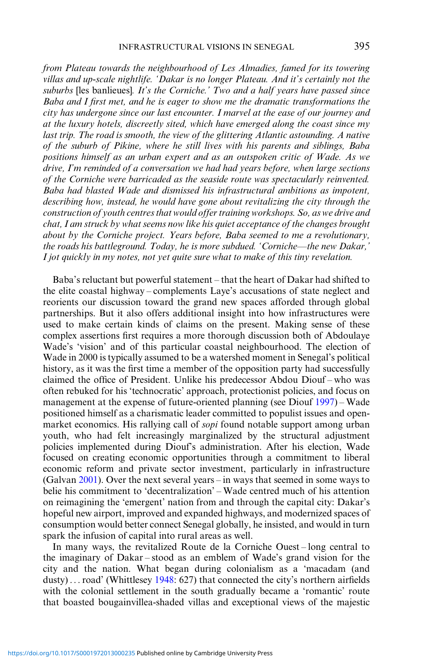from Plateau towards the neighbourhood of Les Almadies, famed for its towering villas and up-scale nightlife. 'Dakar is no longer Plateau. And it's certainly not the suburbs [les banlieues]. It's the Corniche.' Two and a half years have passed since Baba and I first met, and he is eager to show me the dramatic transformations the city has undergone since our last encounter. I marvel at the ease of our journey and at the luxury hotels, discreetly sited, which have emerged along the coast since my last trip. The road is smooth, the view of the glittering Atlantic astounding. A native of the suburb of Pikine, where he still lives with his parents and siblings, Baba positions himself as an urban expert and as an outspoken critic of Wade. As we drive, I'm reminded of a conversation we had had years before, when large sections of the Corniche were barricaded as the seaside route was spectacularly reinvented. Baba had blasted Wade and dismissed his infrastructural ambitions as impotent, describing how, instead, he would have gone about revitalizing the city through the construction of youth centres that would offer training workshops. So, as we drive and

chat, I am struck by what seems now like his quiet acceptance of the changes brought about by the Corniche project. Years before, Baba seemed to me a revolutionary, the roads his battleground. Today, he is more subdued. 'Corniche—the new Dakar,' I jot quickly in my notes, not yet quite sure what to make of this tiny revelation.

Baba's reluctant but powerful statement – that the heart of Dakar had shifted to the elite coastal highway – complements Laye's accusations of state neglect and reorients our discussion toward the grand new spaces afforded through global partnerships. But it also offers additional insight into how infrastructures were used to make certain kinds of claims on the present. Making sense of these complex assertions first requires a more thorough discussion both of Abdoulaye Wade's 'vision' and of this particular coastal neighbourhood. The election of Wade in 2000 is typically assumed to be a watershed moment in Senegal's political history, as it was the first time a member of the opposition party had successfully claimed the office of President. Unlike his predecessor Abdou Diouf – who was often rebuked for his 'technocratic' approach, protectionist policies, and focus on management at the expense of future-oriented planning (see Diouf [1997\)](#page-17-0) – Wade positioned himself as a charismatic leader committed to populist issues and openmarket economics. His rallying call of sopi found notable support among urban youth, who had felt increasingly marginalized by the structural adjustment policies implemented during Diouf's administration. After his election, Wade focused on creating economic opportunities through a commitment to liberal economic reform and private sector investment, particularly in infrastructure (Galvan [2001\)](#page-17-0). Over the next several years – in ways that seemed in some ways to belie his commitment to 'decentralization' – Wade centred much of his attention on reimagining the 'emergent' nation from and through the capital city: Dakar's hopeful new airport, improved and expanded highways, and modernized spaces of consumption would better connect Senegal globally, he insisted, and would in turn spark the infusion of capital into rural areas as well.

In many ways, the revitalized Route de la Corniche Ouest – long central to the imaginary of Dakar – stood as an emblem of Wade's grand vision for the city and the nation. What began during colonialism as a 'macadam (and dusty) ... road' (Whittlesey [1948](#page-18-0): 627) that connected the city's northern airfields with the colonial settlement in the south gradually became a 'romantic' route that boasted bougainvillea-shaded villas and exceptional views of the majestic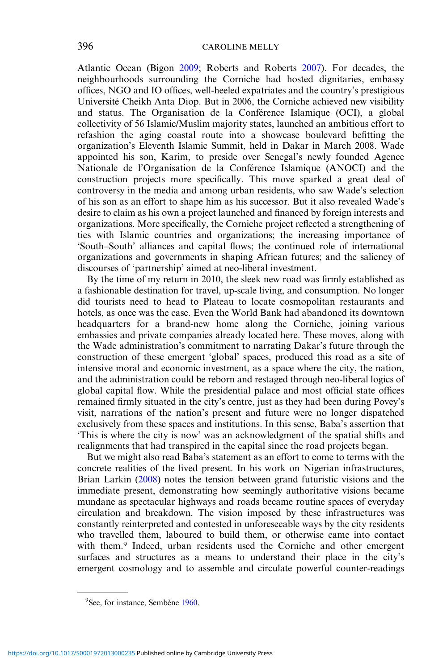Atlantic Ocean (Bigon [2009](#page-16-0); Roberts and Roberts [2007](#page-17-0)). For decades, the neighbourhoods surrounding the Corniche had hosted dignitaries, embassy offices, NGO and IO offices, well-heeled expatriates and the country's prestigious Université Cheikh Anta Diop. But in 2006, the Corniche achieved new visibility and status. The Organisation de la Conférence Islamique (OCI), a global collectivity of 56 Islamic/Muslim majority states, launched an ambitious effort to refashion the aging coastal route into a showcase boulevard befitting the organization's Eleventh Islamic Summit, held in Dakar in March 2008. Wade appointed his son, Karim, to preside over Senegal's newly founded Agence Nationale de l'Organisation de la Conférence Islamique (ANOCI) and the construction projects more specifically. This move sparked a great deal of controversy in the media and among urban residents, who saw Wade's selection of his son as an effort to shape him as his successor. But it also revealed Wade's desire to claim as his own a project launched and financed by foreign interests and organizations. More specifically, the Corniche project reflected a strengthening of ties with Islamic countries and organizations; the increasing importance of 'South–South' alliances and capital flows; the continued role of international organizations and governments in shaping African futures; and the saliency of discourses of 'partnership' aimed at neo-liberal investment.

By the time of my return in 2010, the sleek new road was firmly established as a fashionable destination for travel, up-scale living, and consumption. No longer did tourists need to head to Plateau to locate cosmopolitan restaurants and hotels, as once was the case. Even the World Bank had abandoned its downtown headquarters for a brand-new home along the Corniche, joining various embassies and private companies already located here. These moves, along with the Wade administration's commitment to narrating Dakar's future through the construction of these emergent 'global' spaces, produced this road as a site of intensive moral and economic investment, as a space where the city, the nation, and the administration could be reborn and restaged through neo-liberal logics of global capital flow. While the presidential palace and most official state offices remained firmly situated in the city's centre, just as they had been during Povey's visit, narrations of the nation's present and future were no longer dispatched exclusively from these spaces and institutions. In this sense, Baba's assertion that 'This is where the city is now' was an acknowledgment of the spatial shifts and realignments that had transpired in the capital since the road projects began.

But we might also read Baba's statement as an effort to come to terms with the concrete realities of the lived present. In his work on Nigerian infrastructures, Brian Larkin ([2008\)](#page-17-0) notes the tension between grand futuristic visions and the immediate present, demonstrating how seemingly authoritative visions became mundane as spectacular highways and roads became routine spaces of everyday circulation and breakdown. The vision imposed by these infrastructures was constantly reinterpreted and contested in unforeseeable ways by the city residents who travelled them, laboured to build them, or otherwise came into contact with them.<sup>9</sup> Indeed, urban residents used the Corniche and other emergent surfaces and structures as a means to understand their place in the city's emergent cosmology and to assemble and circulate powerful counter-readings

<sup>&</sup>lt;sup>9</sup>See, for instance, Sembène [1960](#page-18-0).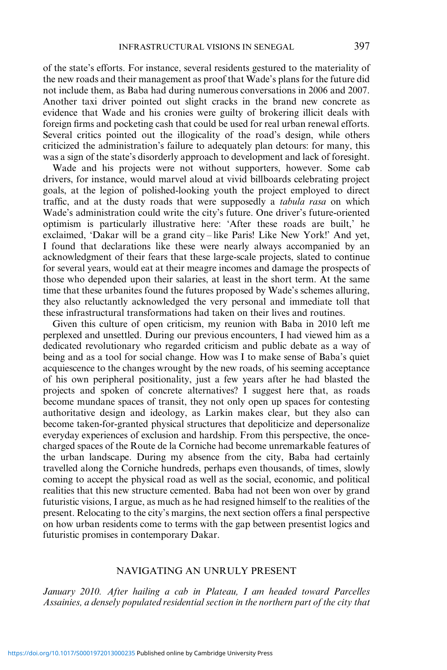of the state's efforts. For instance, several residents gestured to the materiality of the new roads and their management as proof that Wade's plans for the future did not include them, as Baba had during numerous conversations in 2006 and 2007. Another taxi driver pointed out slight cracks in the brand new concrete as evidence that Wade and his cronies were guilty of brokering illicit deals with foreign firms and pocketing cash that could be used for real urban renewal efforts. Several critics pointed out the illogicality of the road's design, while others criticized the administration's failure to adequately plan detours: for many, this was a sign of the state's disorderly approach to development and lack of foresight.

Wade and his projects were not without supporters, however. Some cab drivers, for instance, would marvel aloud at vivid billboards celebrating project goals, at the legion of polished-looking youth the project employed to direct traffic, and at the dusty roads that were supposedly a tabula rasa on which Wade's administration could write the city's future. One driver's future-oriented optimism is particularly illustrative here: 'After these roads are built,' he exclaimed, 'Dakar will be a grand city – like Paris! Like New York!' And yet, I found that declarations like these were nearly always accompanied by an acknowledgment of their fears that these large-scale projects, slated to continue for several years, would eat at their meagre incomes and damage the prospects of those who depended upon their salaries, at least in the short term. At the same time that these urbanites found the futures proposed by Wade's schemes alluring, they also reluctantly acknowledged the very personal and immediate toll that these infrastructural transformations had taken on their lives and routines.

Given this culture of open criticism, my reunion with Baba in 2010 left me perplexed and unsettled. During our previous encounters, I had viewed him as a dedicated revolutionary who regarded criticism and public debate as a way of being and as a tool for social change. How was I to make sense of Baba's quiet acquiescence to the changes wrought by the new roads, of his seeming acceptance of his own peripheral positionality, just a few years after he had blasted the projects and spoken of concrete alternatives? I suggest here that, as roads become mundane spaces of transit, they not only open up spaces for contesting authoritative design and ideology, as Larkin makes clear, but they also can become taken-for-granted physical structures that depoliticize and depersonalize everyday experiences of exclusion and hardship. From this perspective, the oncecharged spaces of the Route de la Corniche had become unremarkable features of the urban landscape. During my absence from the city, Baba had certainly travelled along the Corniche hundreds, perhaps even thousands, of times, slowly coming to accept the physical road as well as the social, economic, and political realities that this new structure cemented. Baba had not been won over by grand futuristic visions, I argue, as much as he had resigned himself to the realities of the present. Relocating to the city's margins, the next section offers a final perspective on how urban residents come to terms with the gap between presentist logics and futuristic promises in contemporary Dakar.

#### NAVIGATING AN UNRULY PRESENT

January 2010. After hailing a cab in Plateau, I am headed toward Parcelles Assainies, a densely populated residential section in the northern part of the city that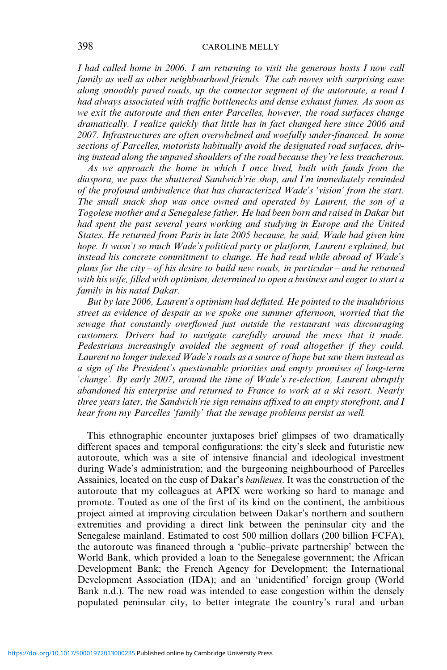I had called home in 2006. I am returning to visit the generous hosts I now call family as well as other neighbourhood friends. The cab moves with surprising ease along smoothly paved roads, up the connector segment of the autoroute, a road I had always associated with traffic bottlenecks and dense exhaust fumes. As soon as we exit the autoroute and then enter Parcelles, however, the road surfaces change dramatically. I realize quickly that little has in fact changed here since 2006 and 2007. Infrastructures are often overwhelmed and woefully under-financed. In some sections of Parcelles, motorists habitually avoid the designated road surfaces, driving instead along the unpaved shoulders of the road because they're less treacherous.

As we approach the home in which I once lived, built with funds from the diaspora, we pass the shuttered Sandwich'rie shop, and I'm immediately reminded of the profound ambivalence that has characterized Wade's 'vision' from the start. The small snack shop was once owned and operated by Laurent, the son of a Togolese mother and a Senegalese father. He had been born and raised in Dakar but had spent the past several years working and studying in Europe and the United States. He returned from Paris in late 2005 because, he said, Wade had given him hope. It wasn't so much Wade's political party or platform, Laurent explained, but instead his concrete commitment to change. He had read while abroad of Wade's plans for the city – of his desire to build new roads, in particular – and he returned with his wife, filled with optimism, determined to open a business and eager to start a family in his natal Dakar.

But by late 2006, Laurent's optimism had deflated. He pointed to the insalubrious street as evidence of despair as we spoke one summer afternoon, worried that the sewage that constantly overflowed just outside the restaurant was discouraging customers. Drivers had to navigate carefully around the mess that it made. Pedestrians increasingly avoided the segment of road altogether if they could. Laurent no longer indexed Wade's roads as a source of hope but saw them instead as a sign of the President's questionable priorities and empty promises of long-term 'change'. By early 2007, around the time of Wade's re-election, Laurent abruptly abandoned his enterprise and returned to France to work at a ski resort. Nearly three years later, the Sandwich'rie sign remains affixed to an empty storefront, and I hear from my Parcelles 'family' that the sewage problems persist as well.

This ethnographic encounter juxtaposes brief glimpses of two dramatically different spaces and temporal configurations: the city's sleek and futuristic new autoroute, which was a site of intensive financial and ideological investment during Wade's administration; and the burgeoning neighbourhood of Parcelles Assainies, located on the cusp of Dakar's banlieues. It was the construction of the autoroute that my colleagues at APIX were working so hard to manage and promote. Touted as one of the first of its kind on the continent, the ambitious project aimed at improving circulation between Dakar's northern and southern extremities and providing a direct link between the peninsular city and the Senegalese mainland. Estimated to cost 500 million dollars (200 billion FCFA), the autoroute was financed through a 'public–private partnership' between the World Bank, which provided a loan to the Senegalese government; the African Development Bank; the French Agency for Development; the International Development Association (IDA); and an 'unidentified' foreign group (World Bank n.d.). The new road was intended to ease congestion within the densely populated peninsular city, to better integrate the country's rural and urban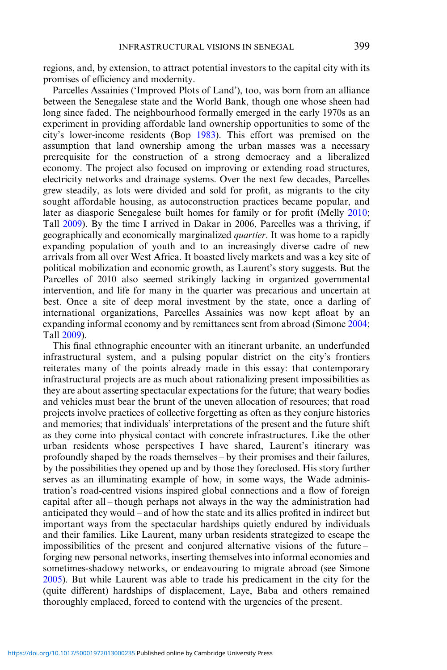regions, and, by extension, to attract potential investors to the capital city with its promises of efficiency and modernity.

Parcelles Assainies ('Improved Plots of Land'), too, was born from an alliance between the Senegalese state and the World Bank, though one whose sheen had long since faded. The neighbourhood formally emerged in the early 1970s as an experiment in providing affordable land ownership opportunities to some of the city's lower-income residents (Bop [1983](#page-16-0)). This effort was premised on the assumption that land ownership among the urban masses was a necessary prerequisite for the construction of a strong democracy and a liberalized economy. The project also focused on improving or extending road structures, electricity networks and drainage systems. Over the next few decades, Parcelles grew steadily, as lots were divided and sold for profit, as migrants to the city sought affordable housing, as autoconstruction practices became popular, and later as diasporic Senegalese built homes for family or for profit (Melly [2010](#page-17-0); Tall [2009](#page-18-0)). By the time I arrived in Dakar in 2006, Parcelles was a thriving, if geographically and economically marginalized quartier. It was home to a rapidly expanding population of youth and to an increasingly diverse cadre of new arrivals from all over West Africa. It boasted lively markets and was a key site of political mobilization and economic growth, as Laurent's story suggests. But the Parcelles of 2010 also seemed strikingly lacking in organized governmental intervention, and life for many in the quarter was precarious and uncertain at best. Once a site of deep moral investment by the state, once a darling of international organizations, Parcelles Assainies was now kept afloat by an expanding informal economy and by remittances sent from abroad (Simone [2004](#page-18-0); Tall [2009](#page-18-0)).

This final ethnographic encounter with an itinerant urbanite, an underfunded infrastructural system, and a pulsing popular district on the city's frontiers reiterates many of the points already made in this essay: that contemporary infrastructural projects are as much about rationalizing present impossibilities as they are about asserting spectacular expectations for the future; that weary bodies and vehicles must bear the brunt of the uneven allocation of resources; that road projects involve practices of collective forgetting as often as they conjure histories and memories; that individuals' interpretations of the present and the future shift as they come into physical contact with concrete infrastructures. Like the other urban residents whose perspectives I have shared, Laurent's itinerary was profoundly shaped by the roads themselves – by their promises and their failures, by the possibilities they opened up and by those they foreclosed. His story further serves as an illuminating example of how, in some ways, the Wade administration's road-centred visions inspired global connections and a flow of foreign capital after all – though perhaps not always in the way the administration had anticipated they would – and of how the state and its allies profited in indirect but important ways from the spectacular hardships quietly endured by individuals and their families. Like Laurent, many urban residents strategized to escape the impossibilities of the present and conjured alternative visions of the future – forging new personal networks, inserting themselves into informal economies and sometimes-shadowy networks, or endeavouring to migrate abroad (see Simone [2005\)](#page-18-0). But while Laurent was able to trade his predicament in the city for the (quite different) hardships of displacement, Laye, Baba and others remained thoroughly emplaced, forced to contend with the urgencies of the present.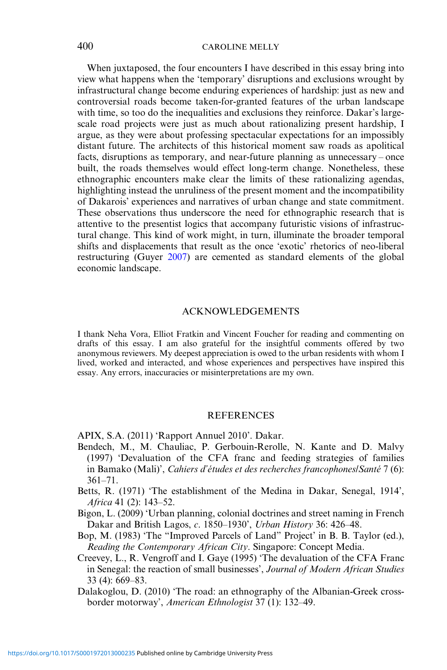<span id="page-16-0"></span>When juxtaposed, the four encounters I have described in this essay bring into view what happens when the 'temporary' disruptions and exclusions wrought by infrastructural change become enduring experiences of hardship: just as new and controversial roads become taken-for-granted features of the urban landscape with time, so too do the inequalities and exclusions they reinforce. Dakar's largescale road projects were just as much about rationalizing present hardship, I argue, as they were about professing spectacular expectations for an impossibly distant future. The architects of this historical moment saw roads as apolitical facts, disruptions as temporary, and near-future planning as unnecessary – once built, the roads themselves would effect long-term change. Nonetheless, these ethnographic encounters make clear the limits of these rationalizing agendas, highlighting instead the unruliness of the present moment and the incompatibility of Dakarois' experiences and narratives of urban change and state commitment. These observations thus underscore the need for ethnographic research that is attentive to the presentist logics that accompany futuristic visions of infrastructural change. This kind of work might, in turn, illuminate the broader temporal shifts and displacements that result as the once 'exotic' rhetorics of neo-liberal restructuring (Guyer [2007\)](#page-17-0) are cemented as standard elements of the global economic landscape.

#### ACKNOWLEDGEMENTS

I thank Neha Vora, Elliot Fratkin and Vincent Foucher for reading and commenting on drafts of this essay. I am also grateful for the insightful comments offered by two anonymous reviewers. My deepest appreciation is owed to the urban residents with whom I lived, worked and interacted, and whose experiences and perspectives have inspired this essay. Any errors, inaccuracies or misinterpretations are my own.

#### **REFERENCES**

APIX, S.A. (2011) 'Rapport Annuel 2010'. Dakar.

- Bendech, M., M. Chauliac, P. Gerbouin-Rerolle, N. Kante and D. Malvy (1997) 'Devaluation of the CFA franc and feeding strategies of families in Bamako (Mali)', Cahiers d'études et des recherches francophones/Santé 7 (6): 361–71.
- Betts, R. (1971) 'The establishment of the Medina in Dakar, Senegal, 1914', Africa 41 (2): 143–52.
- Bigon, L. (2009) 'Urban planning, colonial doctrines and street naming in French Dakar and British Lagos, c. 1850–1930', Urban History 36: 426–48.

Bop, M. (1983) 'The "Improved Parcels of Land" Project' in B. B. Taylor (ed.), Reading the Contemporary African City. Singapore: Concept Media.

- Creevey, L., R. Vengroff and I. Gaye (1995) 'The devaluation of the CFA Franc in Senegal: the reaction of small businesses', Journal of Modern African Studies 33 (4): 669–83.
- Dalakoglou, D. (2010) 'The road: an ethnography of the Albanian-Greek crossborder motorway', American Ethnologist 37 (1): 132–49.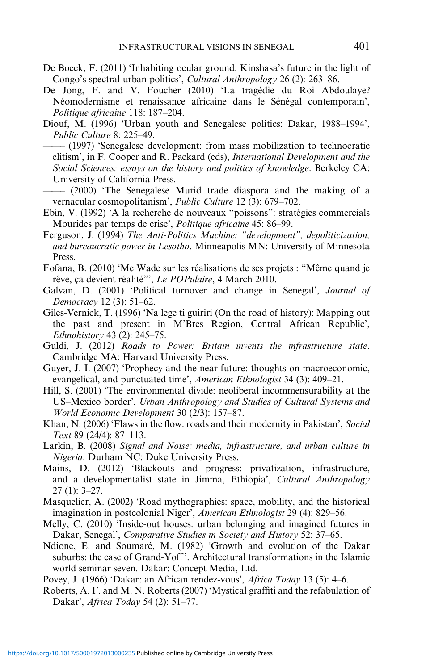- <span id="page-17-0"></span>De Boeck, F. (2011) 'Inhabiting ocular ground: Kinshasa's future in the light of Congo's spectral urban politics', Cultural Anthropology 26 (2): 263–86.
- De Jong, F. and V. Foucher (2010) 'La tragédie du Roi Abdoulaye? Néomodernisme et renaissance africaine dans le Sénégal contemporain', Politique africaine 118: 187–204.
- Diouf, M. (1996) 'Urban youth and Senegalese politics: Dakar, 1988–1994', Public Culture 8: 225–49.
- ——– (1997) 'Senegalese development: from mass mobilization to technocratic elitism', in F. Cooper and R. Packard (eds), International Development and the Social Sciences: essays on the history and politics of knowledge. Berkeley CA: University of California Press.

——– (2000) 'The Senegalese Murid trade diaspora and the making of a vernacular cosmopolitanism', Public Culture 12 (3): 679–702.

- Ebin, V. (1992) 'A la recherche de nouveaux "poissons": stratégies commercials Mourides par temps de crise', Politique africaine 45: 86–99.
- Ferguson, J. (1994) The Anti-Politics Machine: "development", depoliticization, and bureaucratic power in Lesotho. Minneapolis MN: University of Minnesota Press.
- Fofana, B. (2010) 'Me Wade sur les réalisations de ses projets : "Même quand je rêve, ça devient réalité"', Le POPulaire, 4 March 2010.
- Galvan, D. (2001) 'Political turnover and change in Senegal', Journal of Democracy 12 (3): 51–62.
- Giles-Vernick, T. (1996) 'Na lege ti guiriri (On the road of history): Mapping out the past and present in M'Bres Region, Central African Republic', Ethnohistory 43 (2): 245–75.
- Guldi, J. (2012) Roads to Power: Britain invents the infrastructure state. Cambridge MA: Harvard University Press.
- Guyer, J. I. (2007) 'Prophecy and the near future: thoughts on macroeconomic, evangelical, and punctuated time', American Ethnologist 34 (3): 409–21.
- Hill, S. (2001) 'The environmental divide: neoliberal incommensurability at the US–Mexico border', Urban Anthropology and Studies of Cultural Systems and World Economic Development 30 (2/3): 157–87.
- Khan, N. (2006) 'Flaws in the flow: roads and their modernity in Pakistan', Social Text 89 (24/4): 87–113.
- Larkin, B. (2008) Signal and Noise: media, infrastructure, and urban culture in Nigeria. Durham NC: Duke University Press.
- Mains, D. (2012) 'Blackouts and progress: privatization, infrastructure, and a developmentalist state in Jimma, Ethiopia', Cultural Anthropology 27 (1): 3–27.
- Masquelier, A. (2002) 'Road mythographies: space, mobility, and the historical imagination in postcolonial Niger', American Ethnologist 29 (4): 829–56.
- Melly, C. (2010) 'Inside-out houses: urban belonging and imagined futures in Dakar, Senegal', Comparative Studies in Society and History 52: 37–65.
- Ndione, E. and Soumaré, M. (1982) 'Growth and evolution of the Dakar suburbs: the case of Grand-Yoff '. Architectural transformations in the Islamic world seminar seven. Dakar: Concept Media, Ltd.
- Povey, J. (1966) 'Dakar: an African rendez-vous', Africa Today 13 (5): 4–6.
- Roberts, A. F. and M. N. Roberts (2007) 'Mystical graffiti and the refabulation of Dakar', Africa Today 54 (2): 51–77.